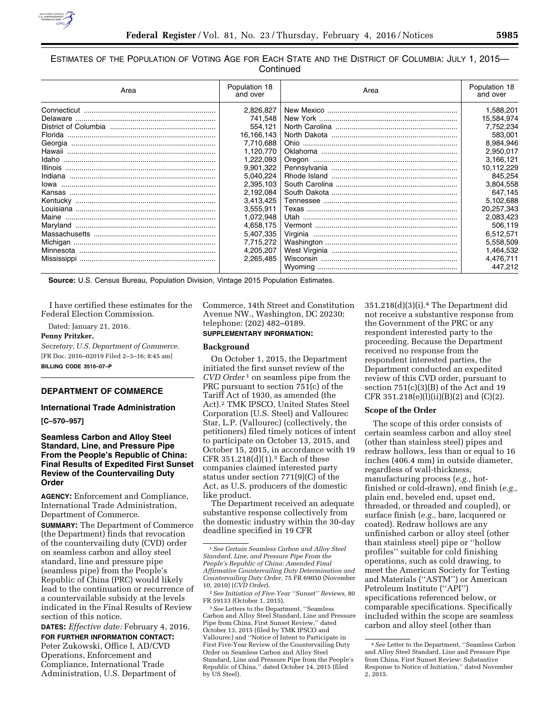

# ESTIMATES OF THE POPULATION OF VOTING AGE FOR EACH STATE AND THE DISTRICT OF COLUMBIA: JULY 1, 2015— **Continued**

| Area  | Population 18<br>and over | Area | Population 18<br>and over |
|-------|---------------------------|------|---------------------------|
|       | 2,826,827                 |      | 1,588,201                 |
|       | 741.548                   |      | 15,584,974                |
|       | 554.121                   |      | 7,752,234                 |
|       | 16,166,143                |      | 583,001                   |
|       | 7,710,688                 |      | 8,984,946                 |
|       | 1,120,770                 |      | 2,950,017                 |
|       | 1,222,093                 |      | 3,166,121                 |
|       | 9,901,322                 |      | 10,112,229                |
|       | 5,040,224                 |      | 845,254                   |
|       | 2,395,103                 |      | 3,804,558                 |
|       | 2,192,084                 |      | 647,145                   |
|       | 3,413,425                 |      | 5,102,688                 |
|       | 3,555,911                 |      | 20,257,343                |
| Maine | 1,072,948                 |      | 2,083,423                 |
|       | 4,658,175                 |      | 506,119                   |
|       | 5,407,335                 |      | 6,512,571                 |
|       | 7,715,272                 |      | 5,558,509                 |
|       | 4,205,207                 |      | 1,464,532                 |
|       | 2,265,485                 |      | 4.476.711                 |
|       |                           |      | 447.212                   |

**Source:** U.S. Census Bureau, Population Division, Vintage 2015 Population Estimates.

I have certified these estimates for the Federal Election Commission.

Dated: January 21, 2016.

# **Penny Pritzker,**

*Secretary, U.S. Department of Commerce.*  [FR Doc. 2016–02019 Filed 2–3–16; 8:45 am] **BILLING CODE 3510–07–P** 

# **DEPARTMENT OF COMMERCE**

#### **International Trade Administration**

#### **[C–570–957]**

# **Seamless Carbon and Alloy Steel Standard, Line, and Pressure Pipe From the People's Republic of China: Final Results of Expedited First Sunset Review of the Countervailing Duty Order**

**AGENCY:** Enforcement and Compliance, International Trade Administration, Department of Commerce. **SUMMARY:** The Department of Commerce (the Department) finds that revocation of the countervailing duty (CVD) order on seamless carbon and alloy steel standard, line and pressure pipe (seamless pipe) from the People's Republic of China (PRC) would likely lead to the continuation or recurrence of a countervailable subsidy at the levels indicated in the Final Results of Review section of this notice.

**DATES:** *Effective date:* February 4, 2016. **FOR FURTHER INFORMATION CONTACT:**  Peter Zukowski, Office I, AD/CVD Operations, Enforcement and Compliance, International Trade Administration, U.S. Department of

Commerce, 14th Street and Constitution Avenue NW., Washington, DC 20230; telephone: (202) 482–0189. **SUPPLEMENTARY INFORMATION:** 

# **Background**

On October 1, 2015, the Department initiated the first sunset review of the *CVD Order* 1 on seamless pipe from the PRC pursuant to section 751(c) of the Tariff Act of 1930, as amended (the Act).2 TMK IPSCO, United States Steel Corporation (U.S. Steel) and Vallourec Star, L.P. (Vallourec) (collectively, the petitioners) filed timely notices of intent to participate on October 13, 2015, and October 15, 2015, in accordance with 19 CFR  $351.218(d)(1).$ <sup>3</sup> Each of these companies claimed interested party status under section 771(9)(C) of the Act, as U.S. producers of the domestic like product.

The Department received an adequate substantive response collectively from the domestic industry within the 30-day deadline specified in 19 CFR

3*See* Letters to the Department, ''Seamless Carbon and Alloy Steel Standard, Line and Pressure Pipe from China, First Sunset Review,'' dated October 13, 2015 (filed by TMK IPSCO and Vallourec) and ''Notice of Intent to Participate in First Five-Year Review of the Countervailing Duty Order on Seamless Carbon and Alloy Steel Standard, Line and Pressure Pipe from the People's Republic of China,'' dated October 14, 2015 (filed by US Steel).

351.218(d)(3)(i).4 The Department did not receive a substantive response from the Government of the PRC or any respondent interested party to the proceeding. Because the Department received no response from the respondent interested parties, the Department conducted an expedited review of this CVD order, pursuant to section 751(c)(3)(B) of the Act and 19 CFR 351.218(e)(l)(ii)(B)(2) and (C)(2).

#### **Scope of the Order**

The scope of this order consists of certain seamless carbon and alloy steel (other than stainless steel) pipes and redraw hollows, less than or equal to 16 inches (406.4 mm) in outside diameter, regardless of wall-thickness, manufacturing process (*e.g.,* hotfinished or cold-drawn), end finish (*e.g.,*  plain end, beveled end, upset end, threaded, or threaded and coupled), or surface finish (*e.g.,* bare, lacquered or coated). Redraw hollows are any unfinished carbon or alloy steel (other than stainless steel) pipe or ''hollow profiles'' suitable for cold finishing operations, such as cold drawing, to meet the American Society for Testing and Materials (''ASTM'') or American Petroleum Institute (''API'') specifications referenced below, or comparable specifications. Specifically included within the scope are seamless carbon and alloy steel (other than

<sup>1</sup>*See Certain Seamless Carbon and Alloy Steel Standard, Line, and Pressure Pipe From the People's Republic of China: Amended Final Affirmative Countervailing Duty Determination and Countervailing Duty Order,* 75 FR 69050 (November 10, 2010) (*CVD Order*).

<sup>2</sup>*See Initiation of Five-Year ''Sunset'' Reviews,* 80 FR 59133 (October 1, 2015).

<sup>4</sup>*See* Letter to the Department, ''Seamless Carbon and Alloy Steel Standard, Line and Pressure Pipe from China, First Sunset Review: Substantive Response to Notice of Initiation,'' dated November 2, 2015.